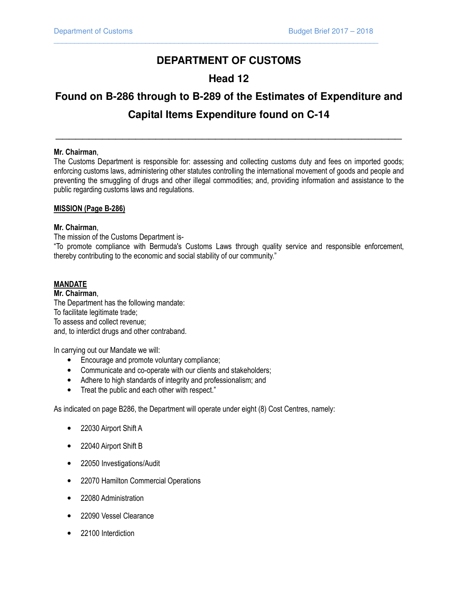# **DEPARTMENT OF CUSTOMS**

 $\overline{\phantom{a}}$  , and the set of the set of the set of the set of the set of the set of the set of the set of the set of the set of the set of the set of the set of the set of the set of the set of the set of the set of the s

# **Head 12**

# **Found on B-286 through to B-289 of the Estimates of Expenditure and Capital Items Expenditure found on C-14**

\_\_\_\_\_\_\_\_\_\_\_\_\_\_\_\_\_\_\_\_\_\_\_\_\_\_\_\_\_\_\_\_\_\_\_\_\_\_\_\_\_\_\_\_\_\_\_\_\_\_\_\_

# Mr. Chairman,

The Customs Department is responsible for: assessing and collecting customs duty and fees on imported goods; enforcing customs laws, administering other statutes controlling the international movement of goods and people and preventing the smuggling of drugs and other illegal commodities; and, providing information and assistance to the public regarding customs laws and regulations.

# MISSION (Page B-286)

# Mr. Chairman,

The mission of the Customs Department is-

"To promote compliance with Bermuda's Customs Laws through quality service and responsible enforcement, thereby contributing to the economic and social stability of our community."

# MANDATE

Mr. Chairman, The Department has the following mandate: To facilitate legitimate trade; To assess and collect revenue; and, to interdict drugs and other contraband.

In carrying out our Mandate we will:

- Encourage and promote voluntary compliance;
- Communicate and co-operate with our clients and stakeholders;
- Adhere to high standards of integrity and professionalism; and
- Treat the public and each other with respect."

As indicated on page B286, the Department will operate under eight (8) Cost Centres, namely:

- 22030 Airport Shift A
- 22040 Airport Shift B
- 22050 Investigations/Audit
- 22070 Hamilton Commercial Operations
- 22080 Administration
- 22090 Vessel Clearance
- 22100 Interdiction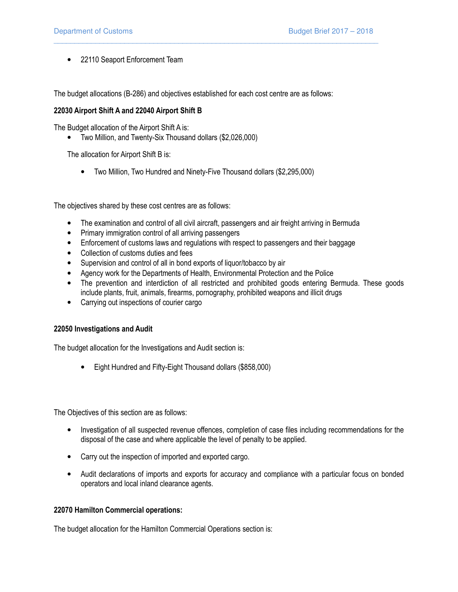• 22110 Seaport Enforcement Team

The budget allocations (B-286) and objectives established for each cost centre are as follows:

 $\overline{\phantom{a}}$  , and the set of the set of the set of the set of the set of the set of the set of the set of the set of the set of the set of the set of the set of the set of the set of the set of the set of the set of the s

## 22030 Airport Shift A and 22040 Airport Shift B

The Budget allocation of the Airport Shift A is:

• Two Million, and Twenty-Six Thousand dollars (\$2,026,000)

The allocation for Airport Shift B is:

• Two Million, Two Hundred and Ninety-Five Thousand dollars (\$2,295,000)

The objectives shared by these cost centres are as follows:

- The examination and control of all civil aircraft, passengers and air freight arriving in Bermuda
- Primary immigration control of all arriving passengers
- Enforcement of customs laws and regulations with respect to passengers and their baggage
- Collection of customs duties and fees
- Supervision and control of all in bond exports of liquor/tobacco by air
- Agency work for the Departments of Health, Environmental Protection and the Police
- The prevention and interdiction of all restricted and prohibited goods entering Bermuda. These goods include plants, fruit, animals, firearms, pornography, prohibited weapons and illicit drugs
- Carrying out inspections of courier cargo

#### 22050 Investigations and Audit

The budget allocation for the Investigations and Audit section is:

• Eight Hundred and Fifty-Eight Thousand dollars (\$858,000)

The Objectives of this section are as follows:

- Investigation of all suspected revenue offences, completion of case files including recommendations for the disposal of the case and where applicable the level of penalty to be applied.
- Carry out the inspection of imported and exported cargo.
- Audit declarations of imports and exports for accuracy and compliance with a particular focus on bonded operators and local inland clearance agents.

# 22070 Hamilton Commercial operations:

The budget allocation for the Hamilton Commercial Operations section is: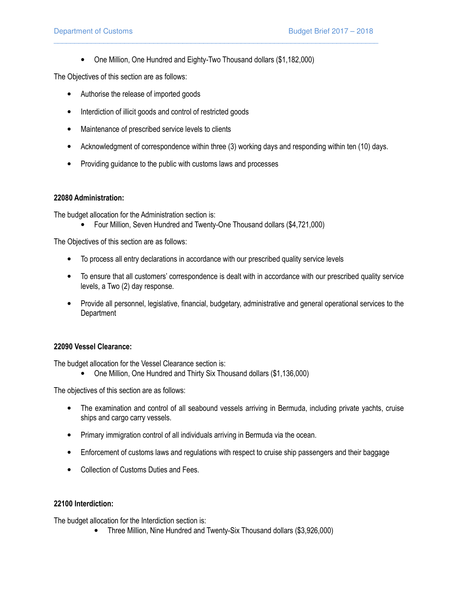• One Million, One Hundred and Eighty-Two Thousand dollars (\$1,182,000)

 $\overline{\phantom{a}}$  , and the set of the set of the set of the set of the set of the set of the set of the set of the set of the set of the set of the set of the set of the set of the set of the set of the set of the set of the s

The Objectives of this section are as follows:

- Authorise the release of imported goods
- Interdiction of illicit goods and control of restricted goods
- Maintenance of prescribed service levels to clients
- Acknowledgment of correspondence within three (3) working days and responding within ten (10) days.
- Providing guidance to the public with customs laws and processes

# 22080 Administration:

The budget allocation for the Administration section is:

• Four Million, Seven Hundred and Twenty-One Thousand dollars (\$4,721,000)

The Objectives of this section are as follows:

- To process all entry declarations in accordance with our prescribed quality service levels
- To ensure that all customers' correspondence is dealt with in accordance with our prescribed quality service levels, a Two (2) day response.
- Provide all personnel, legislative, financial, budgetary, administrative and general operational services to the **Department**

# 22090 Vessel Clearance:

The budget allocation for the Vessel Clearance section is:

• One Million, One Hundred and Thirty Six Thousand dollars (\$1,136,000)

The objectives of this section are as follows:

- The examination and control of all seabound vessels arriving in Bermuda, including private yachts, cruise ships and cargo carry vessels.
- Primary immigration control of all individuals arriving in Bermuda via the ocean.
- Enforcement of customs laws and regulations with respect to cruise ship passengers and their baggage
- Collection of Customs Duties and Fees.

# 22100 Interdiction:

The budget allocation for the Interdiction section is:

• Three Million, Nine Hundred and Twenty-Six Thousand dollars (\$3,926,000)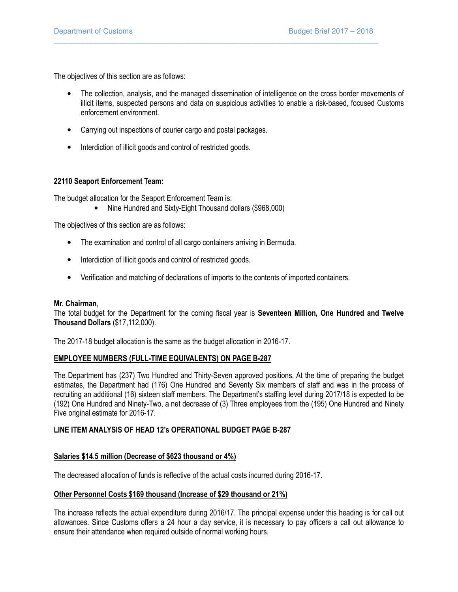The objectives of this section are as follows:

• The collection, analysis, and the managed dissemination of intelligence on the cross border movements of illicit items, suspected persons and data on suspicious activities to enable a risk-based, focused Customs enforcement environment.

 $\overline{\phantom{a}}$  , and the set of the set of the set of the set of the set of the set of the set of the set of the set of the set of the set of the set of the set of the set of the set of the set of the set of the set of the s

- Carrying out inspections of courier cargo and postal packages.
- Interdiction of illicit goods and control of restricted goods.

# 22110 Seaport Enforcement Team:

The budget allocation for the Seaport Enforcement Team is:

• Nine Hundred and Sixty-Eight Thousand dollars (\$968,000)

The objectives of this section are as follows:

- The examination and control of all cargo containers arriving in Bermuda.
- Interdiction of illicit goods and control of restricted goods.
- Verification and matching of declarations of imports to the contents of imported containers.

# Mr. Chairman,

The total budget for the Department for the coming fiscal year is Seventeen Million, One Hundred and Twelve Thousand Dollars (\$17,112,000).

The 2017-18 budget allocation is the same as the budget allocation in 2016-17.

# EMPLOYEE NUMBERS (FULL-TIME EQUIVALENTS) ON PAGE B-287

The Department has (237) Two Hundred and Thirty-Seven approved positions. At the time of preparing the budget estimates, the Department had (176) One Hundred and Seventy Six members of staff and was in the process of recruiting an additional (16) sixteen staff members. The Department's staffing level during 2017/18 is expected to be (192) One Hundred and Ninety-Two, a net decrease of (3) Three employees from the (195) One Hundred and Ninety Five original estimate for 2016-17.

# LINE ITEM ANALYSIS OF HEAD 12's OPERATIONAL BUDGET PAGE B-287

# Salaries \$14.5 million (Decrease of \$623 thousand or 4%)

The decreased allocation of funds is reflective of the actual costs incurred during 2016-17.

# Other Personnel Costs \$169 thousand (Increase of \$29 thousand or 21%)

The increase reflects the actual expenditure during 2016/17. The principal expense under this heading is for call out allowances. Since Customs offers a 24 hour a day service, it is necessary to pay officers a call out allowance to ensure their attendance when required outside of normal working hours.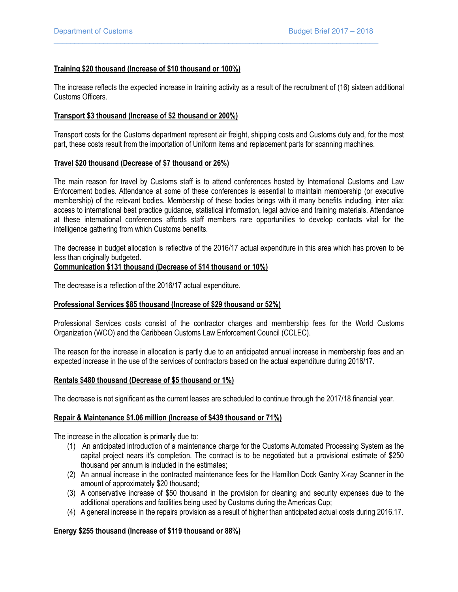# Training \$20 thousand (Increase of \$10 thousand or 100%)

The increase reflects the expected increase in training activity as a result of the recruitment of (16) sixteen additional Customs Officers.

 $\overline{\phantom{a}}$  , and the set of the set of the set of the set of the set of the set of the set of the set of the set of the set of the set of the set of the set of the set of the set of the set of the set of the set of the s

#### Transport \$3 thousand (Increase of \$2 thousand or 200%)

Transport costs for the Customs department represent air freight, shipping costs and Customs duty and, for the most part, these costs result from the importation of Uniform items and replacement parts for scanning machines.

#### Travel \$20 thousand (Decrease of \$7 thousand or 26%)

The main reason for travel by Customs staff is to attend conferences hosted by International Customs and Law Enforcement bodies. Attendance at some of these conferences is essential to maintain membership (or executive membership) of the relevant bodies. Membership of these bodies brings with it many benefits including, inter alia: access to international best practice guidance, statistical information, legal advice and training materials. Attendance at these international conferences affords staff members rare opportunities to develop contacts vital for the intelligence gathering from which Customs benefits.

The decrease in budget allocation is reflective of the 2016/17 actual expenditure in this area which has proven to be less than originally budgeted.

#### Communication \$131 thousand (Decrease of \$14 thousand or 10%)

The decrease is a reflection of the 2016/17 actual expenditure.

#### Professional Services \$85 thousand (Increase of \$29 thousand or 52%)

Professional Services costs consist of the contractor charges and membership fees for the World Customs Organization (WCO) and the Caribbean Customs Law Enforcement Council (CCLEC).

The reason for the increase in allocation is partly due to an anticipated annual increase in membership fees and an expected increase in the use of the services of contractors based on the actual expenditure during 2016/17.

#### Rentals \$480 thousand (Decrease of \$5 thousand or 1%)

The decrease is not significant as the current leases are scheduled to continue through the 2017/18 financial year.

#### Repair & Maintenance \$1.06 million (Increase of \$439 thousand or 71%)

The increase in the allocation is primarily due to:

- (1) An anticipated introduction of a maintenance charge for the Customs Automated Processing System as the capital project nears it's completion. The contract is to be negotiated but a provisional estimate of \$250 thousand per annum is included in the estimates;
- (2) An annual increase in the contracted maintenance fees for the Hamilton Dock Gantry X-ray Scanner in the amount of approximately \$20 thousand;
- (3) A conservative increase of \$50 thousand in the provision for cleaning and security expenses due to the additional operations and facilities being used by Customs during the Americas Cup;
- (4) A general increase in the repairs provision as a result of higher than anticipated actual costs during 2016.17.

# Energy \$255 thousand (Increase of \$119 thousand or 88%)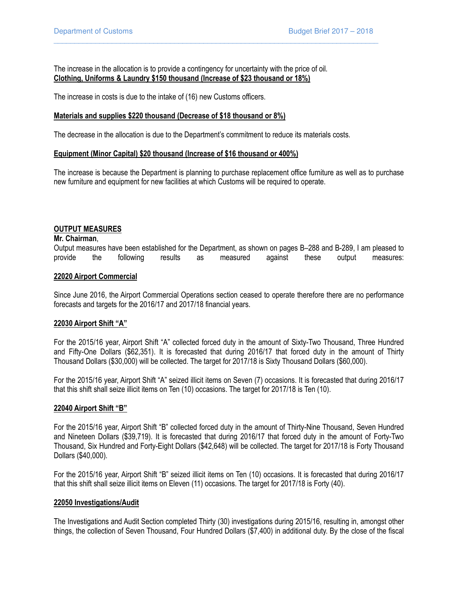The increase in the allocation is to provide a contingency for uncertainty with the price of oil. Clothing, Uniforms & Laundry \$150 thousand (Increase of \$23 thousand or 18%)

 $\overline{\phantom{a}}$  , and the set of the set of the set of the set of the set of the set of the set of the set of the set of the set of the set of the set of the set of the set of the set of the set of the set of the set of the s

The increase in costs is due to the intake of (16) new Customs officers.

#### Materials and supplies \$220 thousand (Decrease of \$18 thousand or 8%)

The decrease in the allocation is due to the Department's commitment to reduce its materials costs.

#### Equipment (Minor Capital) \$20 thousand (Increase of \$16 thousand or 400%)

The increase is because the Department is planning to purchase replacement office furniture as well as to purchase new furniture and equipment for new facilities at which Customs will be required to operate.

# OUTPUT MEASURES

#### Mr. Chairman,

Output measures have been established for the Department, as shown on pages B–288 and B-289, I am pleased to provide the following results as measured against these output measures:

#### 22020 Airport Commercial

Since June 2016, the Airport Commercial Operations section ceased to operate therefore there are no performance forecasts and targets for the 2016/17 and 2017/18 financial years.

#### 22030 Airport Shift "A"

For the 2015/16 year, Airport Shift "A" collected forced duty in the amount of Sixty-Two Thousand, Three Hundred and Fifty-One Dollars (\$62,351). It is forecasted that during 2016/17 that forced duty in the amount of Thirty Thousand Dollars (\$30,000) will be collected. The target for 2017/18 is Sixty Thousand Dollars (\$60,000).

For the 2015/16 year, Airport Shift "A" seized illicit items on Seven (7) occasions. It is forecasted that during 2016/17 that this shift shall seize illicit items on Ten (10) occasions. The target for 2017/18 is Ten (10).

#### 22040 Airport Shift "B"

For the 2015/16 year, Airport Shift "B" collected forced duty in the amount of Thirty-Nine Thousand, Seven Hundred and Nineteen Dollars (\$39,719). It is forecasted that during 2016/17 that forced duty in the amount of Forty-Two Thousand, Six Hundred and Forty-Eight Dollars (\$42,648) will be collected. The target for 2017/18 is Forty Thousand Dollars (\$40,000).

For the 2015/16 year, Airport Shift "B" seized illicit items on Ten (10) occasions. It is forecasted that during 2016/17 that this shift shall seize illicit items on Eleven (11) occasions. The target for 2017/18 is Forty (40).

#### 22050 Investigations/Audit

The Investigations and Audit Section completed Thirty (30) investigations during 2015/16, resulting in, amongst other things, the collection of Seven Thousand, Four Hundred Dollars (\$7,400) in additional duty. By the close of the fiscal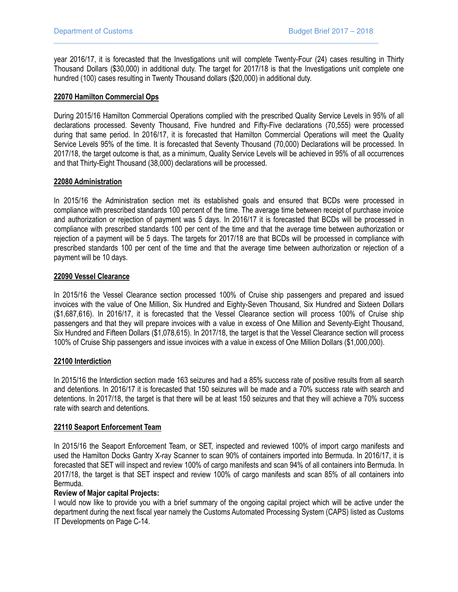year 2016/17, it is forecasted that the Investigations unit will complete Twenty-Four (24) cases resulting in Thirty Thousand Dollars (\$30,000) in additional duty. The target for 2017/18 is that the Investigations unit complete one hundred (100) cases resulting in Twenty Thousand dollars (\$20,000) in additional duty.

 $\overline{\phantom{a}}$  , and the set of the set of the set of the set of the set of the set of the set of the set of the set of the set of the set of the set of the set of the set of the set of the set of the set of the set of the s

## 22070 Hamilton Commercial Ops

During 2015/16 Hamilton Commercial Operations complied with the prescribed Quality Service Levels in 95% of all declarations processed. Seventy Thousand, Five hundred and Fifty-Five declarations (70,555) were processed during that same period. In 2016/17, it is forecasted that Hamilton Commercial Operations will meet the Quality Service Levels 95% of the time. It is forecasted that Seventy Thousand (70,000) Declarations will be processed. In 2017/18, the target outcome is that, as a minimum, Quality Service Levels will be achieved in 95% of all occurrences and that Thirty-Eight Thousand (38,000) declarations will be processed.

#### 22080 Administration

In 2015/16 the Administration section met its established goals and ensured that BCDs were processed in compliance with prescribed standards 100 percent of the time. The average time between receipt of purchase invoice and authorization or rejection of payment was 5 days. In 2016/17 it is forecasted that BCDs will be processed in compliance with prescribed standards 100 per cent of the time and that the average time between authorization or rejection of a payment will be 5 days. The targets for 2017/18 are that BCDs will be processed in compliance with prescribed standards 100 per cent of the time and that the average time between authorization or rejection of a payment will be 10 days.

#### 22090 Vessel Clearance

In 2015/16 the Vessel Clearance section processed 100% of Cruise ship passengers and prepared and issued invoices with the value of One Million, Six Hundred and Eighty-Seven Thousand, Six Hundred and Sixteen Dollars (\$1,687,616). In 2016/17, it is forecasted that the Vessel Clearance section will process 100% of Cruise ship passengers and that they will prepare invoices with a value in excess of One Million and Seventy-Eight Thousand, Six Hundred and Fifteen Dollars (\$1,078,615). In 2017/18, the target is that the Vessel Clearance section will process 100% of Cruise Ship passengers and issue invoices with a value in excess of One Million Dollars (\$1,000,000).

# 22100 Interdiction

In 2015/16 the Interdiction section made 163 seizures and had a 85% success rate of positive results from all search and detentions. In 2016/17 it is forecasted that 150 seizures will be made and a 70% success rate with search and detentions. In 2017/18, the target is that there will be at least 150 seizures and that they will achieve a 70% success rate with search and detentions.

# 22110 Seaport Enforcement Team

In 2015/16 the Seaport Enforcement Team, or SET, inspected and reviewed 100% of import cargo manifests and used the Hamilton Docks Gantry X-ray Scanner to scan 90% of containers imported into Bermuda. In 2016/17, it is forecasted that SET will inspect and review 100% of cargo manifests and scan 94% of all containers into Bermuda. In 2017/18, the target is that SET inspect and review 100% of cargo manifests and scan 85% of all containers into Bermuda.

# Review of Major capital Projects:

I would now like to provide you with a brief summary of the ongoing capital project which will be active under the department during the next fiscal year namely the Customs Automated Processing System (CAPS) listed as Customs IT Developments on Page C-14.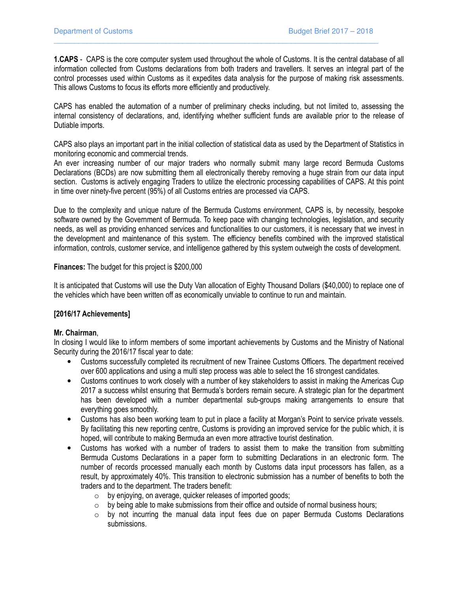1.CAPS - CAPS is the core computer system used throughout the whole of Customs. It is the central database of all information collected from Customs declarations from both traders and travellers. It serves an integral part of the control processes used within Customs as it expedites data analysis for the purpose of making risk assessments. This allows Customs to focus its efforts more efficiently and productively.

 $\overline{\phantom{a}}$  , and the set of the set of the set of the set of the set of the set of the set of the set of the set of the set of the set of the set of the set of the set of the set of the set of the set of the set of the s

CAPS has enabled the automation of a number of preliminary checks including, but not limited to, assessing the internal consistency of declarations, and, identifying whether sufficient funds are available prior to the release of Dutiable imports.

CAPS also plays an important part in the initial collection of statistical data as used by the Department of Statistics in monitoring economic and commercial trends.

An ever increasing number of our major traders who normally submit many large record Bermuda Customs Declarations (BCDs) are now submitting them all electronically thereby removing a huge strain from our data input section. Customs is actively engaging Traders to utilize the electronic processing capabilities of CAPS. At this point in time over ninety-five percent (95%) of all Customs entries are processed via CAPS.

Due to the complexity and unique nature of the Bermuda Customs environment, CAPS is, by necessity, bespoke software owned by the Government of Bermuda. To keep pace with changing technologies, legislation, and security needs, as well as providing enhanced services and functionalities to our customers, it is necessary that we invest in the development and maintenance of this system. The efficiency benefits combined with the improved statistical information, controls, customer service, and intelligence gathered by this system outweigh the costs of development.

Finances: The budget for this project is \$200,000

It is anticipated that Customs will use the Duty Van allocation of Eighty Thousand Dollars (\$40,000) to replace one of the vehicles which have been written off as economically unviable to continue to run and maintain.

# [2016/17 Achievements]

# Mr. Chairman,

In closing I would like to inform members of some important achievements by Customs and the Ministry of National Security during the 2016/17 fiscal year to date:

- Customs successfully completed its recruitment of new Trainee Customs Officers. The department received over 600 applications and using a multi step process was able to select the 16 strongest candidates.
- Customs continues to work closely with a number of key stakeholders to assist in making the Americas Cup 2017 a success whilst ensuring that Bermuda's borders remain secure. A strategic plan for the department has been developed with a number departmental sub-groups making arrangements to ensure that everything goes smoothly.
- Customs has also been working team to put in place a facility at Morgan's Point to service private vessels. By facilitating this new reporting centre, Customs is providing an improved service for the public which, it is hoped, will contribute to making Bermuda an even more attractive tourist destination.
- Customs has worked with a number of traders to assist them to make the transition from submitting Bermuda Customs Declarations in a paper form to submitting Declarations in an electronic form. The number of records processed manually each month by Customs data input processors has fallen, as a result, by approximately 40%. This transition to electronic submission has a number of benefits to both the traders and to the department. The traders benefit:
	- o by enjoying, on average, quicker releases of imported goods;
	- $\circ$  by being able to make submissions from their office and outside of normal business hours;
	- o by not incurring the manual data input fees due on paper Bermuda Customs Declarations submissions.